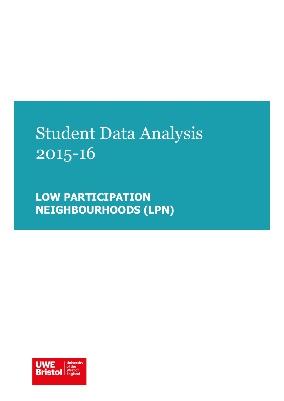# Student Data Analysis 2015-16

**LOW PARTICIPATION NEIGHBOURHOODS (LPN)**

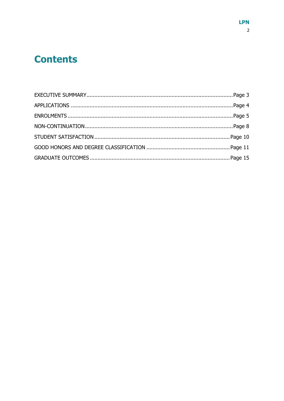# **Contents**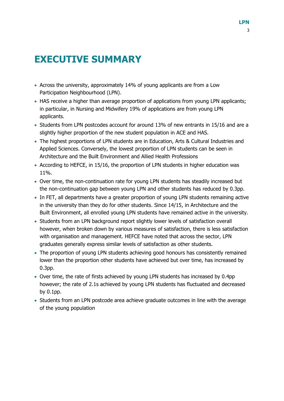# <span id="page-2-0"></span>**EXECUTIVE SUMMARY**

- Across the university, approximately 14% of young applicants are from a Low Participation Neighbourhood (LPN).
- HAS receive a higher than average proportion of applications from young LPN applicants; in particular, in Nursing and Midwifery 19% of applications are from young LPN applicants.
- Students from LPN postcodes account for around 13% of new entrants in 15/16 and are a slightly higher proportion of the new student population in ACE and HAS.
- The highest proportions of LPN students are in Education, Arts & Cultural Industries and Applied Sciences. Conversely, the lowest proportion of LPN students can be seen in Architecture and the Built Environment and Allied Health Professions
- According to HEFCE, in 15/16, the proportion of LPN students in higher education was 11%.
- Over time, the non-continuation rate for young LPN students has steadily increased but the non-continuation gap between young LPN and other students has reduced by 0.3pp.
- In FET, all departments have a greater proportion of young LPN students remaining active in the university than they do for other students. Since 14/15, in Architecture and the Built Environment, all enrolled young LPN students have remained active in the university.
- Students from an LPN background report slightly lower levels of satisfaction overall however, when broken down by various measures of satisfaction, there is less satisfaction with organisation and management. HEFCE have noted that across the sector, LPN graduates generally express similar levels of satisfaction as other students.
- The proportion of young LPN students achieving good honours has consistently remained lower than the proportion other students have achieved but over time, has increased by 0.3pp.
- Over time, the rate of firsts achieved by young LPN students has increased by 0.4pp however; the rate of 2.1s achieved by young LPN students has fluctuated and decreased by 0.1pp.
- Students from an LPN postcode area achieve graduate outcomes in line with the average of the young population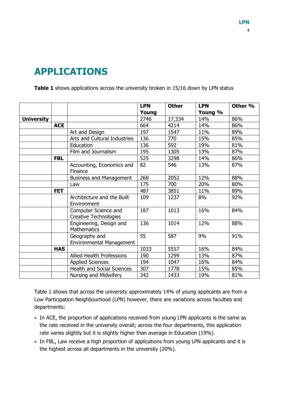# <span id="page-3-0"></span>**APPLICATIONS**

**Table 1** shows applications across the university broken in 15/16 down by LPN status

|                   |            |                                                      | <b>LPN</b><br>Young | <b>Other</b> | <b>LPN</b><br>Young % | Other <sub>%</sub> |
|-------------------|------------|------------------------------------------------------|---------------------|--------------|-----------------------|--------------------|
| <b>University</b> |            |                                                      | 2746                | 17,334       | 14%                   | 86%                |
|                   | <b>ACE</b> |                                                      | 664                 | 4214         | 14%                   | 86%                |
|                   |            | Art and Design                                       | 197                 | 1547         | 11%                   | 89%                |
|                   |            | Arts and Cultural Industries                         | 136                 | 770          | 15%                   | 85%                |
|                   |            | Education                                            | 136                 | 592          | 19%                   | 81%                |
|                   |            | Film and Journalism                                  | 195                 | 1305         | 13%                   | 87%                |
|                   | <b>FBL</b> |                                                      | 525                 | 3298         | 14%                   | 86%                |
|                   |            | Accounting, Economics and<br>Finance                 | 82                  | 546          | 13%                   | 87%                |
|                   |            | <b>Business and Management</b>                       | 268                 | 2052         | 12%                   | 88%                |
|                   |            | Law                                                  | 175                 | 700          | 20%                   | 80%                |
|                   | <b>FET</b> |                                                      | 487                 | 3851         | 11%                   | 89%                |
|                   |            | Architecture and the Built<br>Environment            | 109                 | 1237         | 8%                    | 92%                |
|                   |            | Computer Science and<br><b>Creative Technologies</b> | 187                 | 1013         | 16%                   | 84%                |
|                   |            | Engineering, Design and<br><b>Mathematics</b>        | 136                 | 1014         | 12%                   | 88%                |
|                   |            | Geography and<br><b>Environmental Management</b>     | 55                  | 587          | 9%                    | 91%                |
|                   | <b>HAS</b> |                                                      | 1033                | 5557         | 16%                   | 84%                |
|                   |            | Allied Health Professions                            | 190                 | 1299         | 13%                   | 87%                |
|                   |            | <b>Applied Sciences</b>                              | 194                 | 1047         | 16%                   | 84%                |
|                   |            | <b>Health and Social Sciences</b>                    | 307                 | 1778         | 15%                   | 85%                |
|                   |            | Nursing and Midwifery                                | 342                 | 1433         | 19%                   | 81%                |

Table 1 shows that across the university approximately 14% of young applicants are from a Low Participation Neighbourhood (LPN) however, there are variations across faculties and departments:

- In ACE, the proportion of applications received from young LPN applicants is the same as the rate received in the university overall; across the four departments, this application rate varies slightly but it is slightly higher than average in Education (19%).
- In FBL, Law receive a high proportion of applications from young LPN applicants and it is the highest across all departments in the university (20%).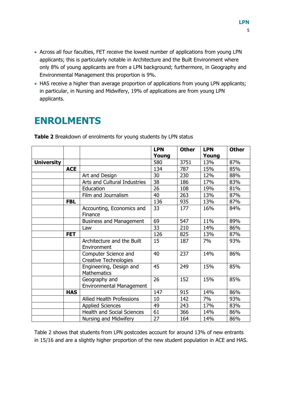- Across all four faculties, FET receive the lowest number of applications from young LPN applicants; this is particularly notable in Architecture and the Built Environment where only 8% of young applicants are from a LPN background; furthermore, in Geography and Environmental Management this proportion is 9%.
- HAS receive a higher than average proportion of applications from young LPN applicants; in particular, in Nursing and Midwifery, 19% of applications are from young LPN applicants.

### <span id="page-4-0"></span>**ENROLMENTS**

**LPN Young Other LPN Young Other University** 1979 120 1580 13751 13% 187% **ACE** | 134 | 787 | 15% | 85% Art and Design 230 230 12% 88% Arts and Cultural Industries  $\begin{array}{|c|c|c|c|c|}\n\hline\n38 & 186 & 17\% & 83\% \\
\hline\n\end{array}$ Education 26 108 19% 81% Film and Journalism 40 263 13% 87% **FBL** | 136 | 935 | 13% | 87% Accounting, Economics and Finance 33 177 16% 84% Business and Management  $\begin{array}{|c|c|c|c|c|c|c|c|c|} \hline \end{array}$  547  $\begin{array}{|c|c|c|c|c|c|c|c|} \hline \end{array}$  11%  $\begin{array}{|c|c|c|c|c|c|c|c|c|} \hline \end{array}$ Law 33 210 14% 86% **FET** | 126 | 825 | 13% | 87% Architecture and the Built **Environment** 15 187 7% 93% Computer Science and Creative Technologies 40 237 14% 86% Engineering, Design and **Mathematics** 45 249 15% 85% Geography and Environmental Management 26 152 15% 85% **HAS** | 147 | 915 | 14% | 86% Allied Health Professions 10 142 7% 93% Applied Sciences 149 243 17% 83% Health and Social Sciences 61 366 14% 86% Nursing and Midwifery 27 164 14% 86%

**Table 2** Breakdown of enrolments for young students by LPN status

Table 2 shows that students from LPN postcodes account for around 13% of new entrants in 15/16 and are a slightly higher proportion of the new student population in ACE and HAS.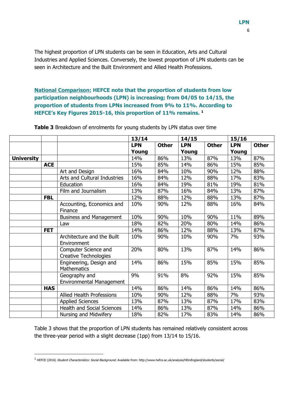The highest proportion of LPN students can be seen in Education, Arts and Cultural Industries and Applied Sciences. Conversely, the lowest proportion of LPN students can be seen in Architecture and the Built Environment and Allied Health Professions.

#### **National Comparison: HEFCE note that the proportion of students from low participation neighbourhoods (LPN) is increasing; from 04/05 to 14/15, the proportion of students from LPNs increased from 9% to 11%. According to HEFCE's Key Figures 2015-16, this proportion of 11% remains. <sup>1</sup>**

|                   |            |                                                      | 13/14      |              | 14/15      |              | 15/16      |              |
|-------------------|------------|------------------------------------------------------|------------|--------------|------------|--------------|------------|--------------|
|                   |            |                                                      | <b>LPN</b> | <b>Other</b> | <b>LPN</b> | <b>Other</b> | <b>LPN</b> | <b>Other</b> |
|                   |            |                                                      | Young      |              | Young      |              | Young      |              |
| <b>University</b> |            |                                                      | 14%        | 86%          | 13%        | 87%          | 13%        | 87%          |
|                   | <b>ACE</b> |                                                      | 15%        | 85%          | 14%        | 86%          | 15%        | 85%          |
|                   |            | Art and Design                                       | 16%        | 84%          | 10%        | 90%          | 12%        | 88%          |
|                   |            | Arts and Cultural Industries                         | 16%        | 84%          | 12%        | 88%          | 17%        | 83%          |
|                   |            | Education                                            | 16%        | 84%          | 19%        | 81%          | 19%        | 81%          |
|                   |            | Film and Journalism                                  | 13%        | 87%          | 16%        | 84%          | 13%        | 87%          |
|                   | <b>FBL</b> |                                                      | 12%        | 88%          | 12%        | 88%          | 13%        | 87%          |
|                   |            | Accounting, Economics and<br>Finance                 | 10%        | 90%          | 12%        | 88%          | 16%        | 84%          |
|                   |            | <b>Business and Management</b>                       | 10%        | 90%          | 10%        | 90%          | 11%        | 89%          |
|                   |            | Law                                                  | 18%        | 82%          | 20%        | 80%          | 14%        | 86%          |
|                   | <b>FET</b> |                                                      | 14%        | 86%          | 12%        | 88%          | 13%        | 87%          |
|                   |            | Architecture and the Built<br>Environment            | 10%        | 90%          | 10%        | 90%          | 7%         | 93%          |
|                   |            | Computer Science and<br><b>Creative Technologies</b> | 20%        | 80%          | 13%        | 87%          | 14%        | 86%          |
|                   |            | Engineering, Design and<br>Mathematics               | 14%        | 86%          | 15%        | 85%          | 15%        | 85%          |
|                   |            | Geography and<br><b>Environmental Management</b>     | 9%         | 91%          | 8%         | 92%          | 15%        | 85%          |
|                   | <b>HAS</b> |                                                      | 14%        | 86%          | 14%        | 86%          | 14%        | 86%          |
|                   |            | Allied Health Professions                            | 10%        | 90%          | 12%        | 88%          | 7%         | 93%          |
|                   |            | <b>Applied Sciences</b>                              | 13%        | 87%          | 13%        | 87%          | 17%        | 83%          |
|                   |            | <b>Health and Social Sciences</b>                    | 14%        | 86%          | 13%        | 87%          | 14%        | 86%          |
|                   |            | Nursing and Midwifery                                | 18%        | 82%          | 17%        | 83%          | 14%        | 86%          |

**Table 3** Breakdown of enrolments for young students by LPN status over time

Table 3 shows that the proportion of LPN students has remained relatively consistent across the three-year period with a slight decrease (1pp) from 13/14 to 15/16.

-

<sup>1</sup> HEFCE (2016) Student Characteristics: Social Background. Available from: http://www.hefce.ac.uk/analysis/HEinEngland/students/social/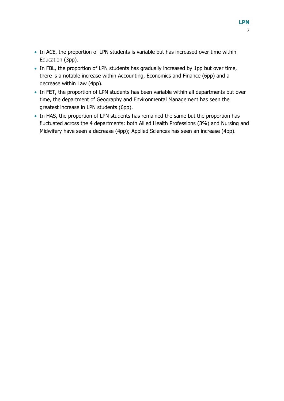- In ACE, the proportion of LPN students is variable but has increased over time within Education (3pp).
- In FBL, the proportion of LPN students has gradually increased by 1pp but over time, there is a notable increase within Accounting, Economics and Finance (6pp) and a decrease within Law (4pp).
- In FET, the proportion of LPN students has been variable within all departments but over time, the department of Geography and Environmental Management has seen the greatest increase in LPN students (6pp).
- In HAS, the proportion of LPN students has remained the same but the proportion has fluctuated across the 4 departments: both Allied Health Professions (3%) and Nursing and Midwifery have seen a decrease (4pp); Applied Sciences has seen an increase (4pp).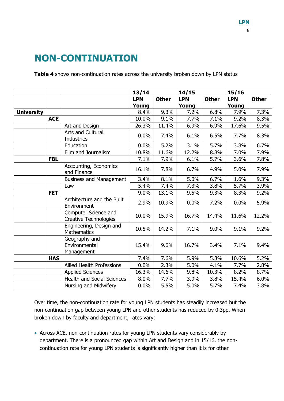# <span id="page-7-0"></span>**NON-CONTINUATION**

**Table 4** shows non-continuation rates across the university broken down by LPN status

|                   |            |                                               | 13/14      |              | 14/15      |              | 15/16      |              |
|-------------------|------------|-----------------------------------------------|------------|--------------|------------|--------------|------------|--------------|
|                   |            |                                               | <b>LPN</b> | <b>Other</b> | <b>LPN</b> | <b>Other</b> | <b>LPN</b> | <b>Other</b> |
|                   |            |                                               | Young      |              | Young      |              | Young      |              |
| <b>University</b> |            |                                               | 8.4%       | 9.3%         | 7.2%       | 6.8%         | 7.9%       | 7.3%         |
|                   | <b>ACE</b> |                                               | 10.0%      | 9.1%         | 7.7%       | 7.1%         | 9.2%       | 8.3%         |
|                   |            | Art and Design                                | 26.3%      | 11.4%        | 6.9%       | 6.9%         | 17.6%      | 9.5%         |
|                   |            | Arts and Cultural<br><b>Industries</b>        | 0.0%       | 7.4%         | 6.1%       | 6.5%         | 7.7%       | 8.3%         |
|                   |            | Education                                     | 0.0%       | 5.2%         | 3.1%       | 5.7%         | 3.8%       | 6.7%         |
|                   |            | Film and Journalism                           | 10.8%      | 11.6%        | 12.2%      | 8.8%         | 7.0%       | 7.9%         |
|                   | <b>FBL</b> |                                               | 7.1%       | 7.9%         | 6.1%       | 5.7%         | 3.6%       | 7.8%         |
|                   |            | Accounting, Economics<br>and Finance          | 16.1%      | 7.8%         | 6.7%       | 4.9%         | 5.0%       | 7.9%         |
|                   |            | <b>Business and Management</b>                | 3.4%       | 8.1%         | 5.0%       | 6.7%         | 1.6%       | 9.3%         |
|                   |            | Law                                           | 5.4%       | 7.4%         | 7.3%       | 3.8%         | 5.7%       | 3.9%         |
|                   | <b>FET</b> |                                               | 9.0%       | 13.1%        | 9.5%       | 9.3%         | 8.3%       | 9.2%         |
|                   |            | Architecture and the Built<br>Environment     | 2.9%       | 10.9%        | 0.0%       | 7.2%         | 0.0%       | 5.9%         |
|                   |            | Computer Science and<br>Creative Technologies | 10.0%      | 15.9%        | 16.7%      | 14.4%        | 11.6%      | 12.2%        |
|                   |            | Engineering, Design and<br><b>Mathematics</b> | 10.5%      | 14.2%        | 7.1%       | 9.0%         | 9.1%       | 9.2%         |
|                   |            | Geography and<br>Environmental<br>Management  | 15.4%      | 9.6%         | 16.7%      | 3.4%         | 7.1%       | 9.4%         |
|                   | <b>HAS</b> |                                               | 7.4%       | 7.6%         | 5.9%       | 5.8%         | 10.6%      | 5.2%         |
|                   |            | Allied Health Professions                     | 0.0%       | 2.3%         | 5.0%       | 4.1%         | 7.7%       | 2.8%         |
|                   |            | <b>Applied Sciences</b>                       | 16.3%      | 14.6%        | 9.8%       | 10.3%        | 8.2%       | 8.7%         |
|                   |            | <b>Health and Social Sciences</b>             | 8.0%       | 7.7%         | 3.9%       | 3.8%         | 15.4%      | 6.0%         |
|                   |            | Nursing and Midwifery                         | 0.0%       | 5.5%         | 5.0%       | 5.7%         | 7.4%       | 3.8%         |

Over time, the non-continuation rate for young LPN students has steadily increased but the non-continuation gap between young LPN and other students has reduced by 0.3pp. When broken down by faculty and department, rates vary:

 Across ACE, non-continuation rates for young LPN students vary considerably by department. There is a pronounced gap within Art and Design and in 15/16, the noncontinuation rate for young LPN students is significantly higher than it is for other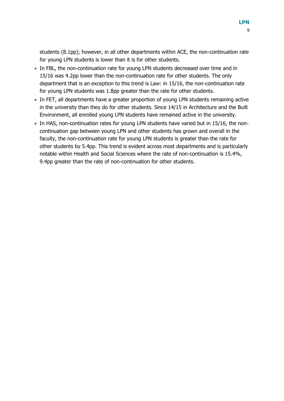students (8.1pp); however, in all other departments within ACE, the non-continuation rate for young LPN students is lower than it is for other students.

- In FBL, the non-continuation rate for young LPN students decreased over time and in 15/16 was 4.2pp lower than the non-continuation rate for other students. The only department that is an exception to this trend is Law: in 15/16, the non-continuation rate for young LPN students was 1.8pp greater than the rate for other students.
- In FET, all departments have a greater proportion of young LPN students remaining active in the university than they do for other students. Since 14/15 in Architecture and the Built Environment, all enrolled young LPN students have remained active in the university.
- In HAS, non-continuation rates for young LPN students have varied but in 15/16, the noncontinuation gap between young LPN and other students has grown and overall in the faculty, the non-continuation rate for young LPN students is greater than the rate for other students by 5.4pp. This trend is evident across most departments and is particularly notable within Health and Social Sciences where the rate of non-continuation is 15.4%, 9.4pp greater than the rate of non-continuation for other students.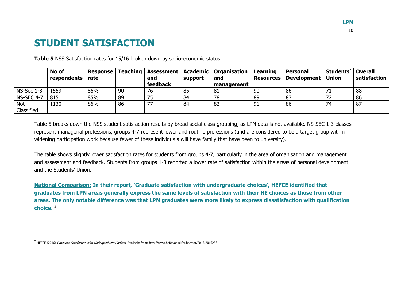# **STUDENT SATISFACTION**

**Table 5** NSS Satisfaction rates for 15/16 broken down by socio-economic status

|                   | No of<br>respondents | <b>Response</b><br>rate | <b>Teaching</b> | and      | support | <b>Assessment   Academic   Organisation</b><br>and | Learning<br><b>Resources</b> | Personal<br>Development | Students'<br><b>Union</b> | <b>Overall</b><br>satisfaction |
|-------------------|----------------------|-------------------------|-----------------|----------|---------|----------------------------------------------------|------------------------------|-------------------------|---------------------------|--------------------------------|
|                   |                      |                         |                 | feedback |         | management                                         |                              |                         |                           |                                |
| $NS-Sec 1-3$      | 1559                 | 86%                     | 90              | 76       | 85      | 81                                                 | 90                           | 86                      |                           | 88                             |
| <b>NS-SEC 4-7</b> | 815                  | 85%                     | 89              | ر ،      | 84      | 78                                                 | 89                           | -87                     |                           | 86                             |
| <b>Not</b>        | 1130                 | 86%                     | 86              | フフ       | 84      | 82                                                 | 91                           | 86                      |                           |                                |
| Classified        |                      |                         |                 |          |         |                                                    |                              |                         |                           |                                |

Table 5 breaks down the NSS student satisfaction results by broad social class grouping, as LPN data is not available. NS-SEC 1-3 classes represent managerial professions, groups 4-7 represent lower and routine professions (and are considered to be a target group within widening participation work because fewer of these individuals will have family that have been to university).

<span id="page-9-0"></span>The table shows slightly lower satisfaction rates for students from groups 4-7, particularly in the area of organisation and management and assessment and feedback. Students from groups 1-3 reported a lower rate of satisfaction within the areas of personal development and the Students' Union.

**National Comparison: In their report, 'Graduate satisfaction with undergraduate choices', HEFCE identified that graduates from LPN areas generally express the same levels of satisfaction with their HE choices as those from other areas. The only notable difference was that LPN graduates were more likely to express dissatisfaction with qualification choice. <sup>2</sup>**

-

10

<sup>&</sup>lt;sup>2</sup> HEFCE (2016) *Graduate Satisfaction with Undergraduate Choices*. Available from: http://www.hefce.ac.uk/pubs/year/2016/201628/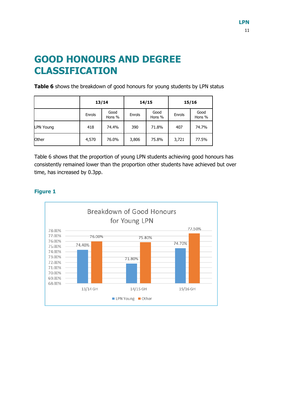# <span id="page-10-0"></span>**GOOD HONOURS AND DEGREE CLASSIFICATION**

**Table 6** shows the breakdown of good honours for young students by LPN status

|                  |        | 13/14          |        | 14/15          | 15/16  |                |  |
|------------------|--------|----------------|--------|----------------|--------|----------------|--|
|                  | Enrols | Good<br>Hons % | Enrols | Good<br>Hons % | Enrols | Good<br>Hons % |  |
| <b>LPN Young</b> | 418    | 74.4%          | 390    | 71.8%          | 407    | 74.7%          |  |
| Other            | 4,570  | 76.0%          | 3,806  | 75.8%          | 3,721  | 77.5%          |  |

Table 6 shows that the proportion of young LPN students achieving good honours has consistently remained lower than the proportion other students have achieved but over time, has increased by 0.3pp.

### **Figure 1**

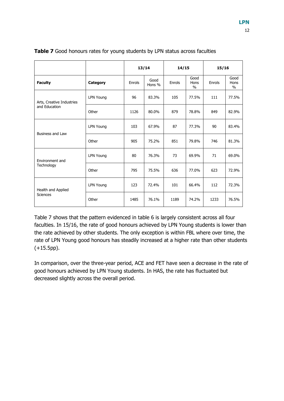|                           |                  | 13/14  |                | 14/15  |                               | 15/16  |                               |  |
|---------------------------|------------------|--------|----------------|--------|-------------------------------|--------|-------------------------------|--|
| <b>Faculty</b>            | Category         | Enrols | Good<br>Hons % | Enrols | Good<br>Hons<br>$\frac{0}{0}$ | Enrols | Good<br>Hons<br>$\frac{0}{0}$ |  |
| Arts, Creative Industries | <b>LPN Young</b> | 96     | 83.3%          | 105    | 77.5%                         | 111    | 77.5%                         |  |
| and Education             | Other            | 1126   | 80.0%          | 879    | 78.8%                         | 849    | 82.9%                         |  |
| <b>Business and Law</b>   | <b>LPN Young</b> | 103    | 67.9%          | 87     | 77.3%                         | 90     | 83.4%                         |  |
|                           | Other            | 905    | 75.2%          | 851    | 79.8%                         | 746    | 81.3%                         |  |
| Environment and           | <b>LPN Young</b> | 80     | 76.3%          | 73     | 69.9%                         | 71     | 69.0%                         |  |
| Technology                | Other            | 795    | 75.5%          | 636    | 77.0%                         | 623    | 72.9%                         |  |
| Health and Applied        | <b>LPN Young</b> | 123    | 72.4%          | 101    | 66.4%                         | 112    | 72.3%                         |  |
| Sciences                  | Other            | 1485   | 76.1%          | 1189   | 74.2%                         | 1233   | 76.5%                         |  |

**Table 7** Good honours rates for young students by LPN status across faculties

Table 7 shows that the pattern evidenced in table 6 is largely consistent across all four faculties. In 15/16, the rate of good honours achieved by LPN Young students is lower than the rate achieved by other students. The only exception is within FBL where over time, the rate of LPN Young good honours has steadily increased at a higher rate than other students (+15.5pp).

In comparison, over the three-year period, ACE and FET have seen a decrease in the rate of good honours achieved by LPN Young students. In HAS, the rate has fluctuated but decreased slightly across the overall period.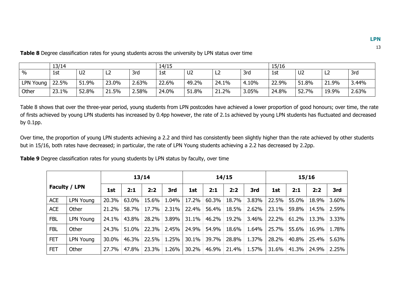|               | 13/14 |                |       |       | 14/15 |                |             | 15/16 |       |                |       |       |
|---------------|-------|----------------|-------|-------|-------|----------------|-------------|-------|-------|----------------|-------|-------|
| $\frac{0}{0}$ | 1st   | U <sub>2</sub> | ᄕ     | 3rd   | 1st   | U <sub>2</sub> | ᄕ           | 3rd   | 1st   | U <sub>2</sub> | -L2   | 3rd   |
| LPN Young     | 22.5% | 51.9%          | 23.0% | ∠.63% | 22.6% | 49.2%          | 24.1%       | 4.10% | 22.9% | 51.8%          | 21.9% | 3.44% |
| Other         | 23.1% | 52.8%          | 21.5% | 2.58% | 24.0% | 51.8%          | 21.2%<br>21 | 3.05% | 24.8% | 52.7%          | 19.9% | 2.63% |

Table 8 shows that over the three-year period, young students from LPN postcodes have achieved a lower proportion of good honours; over time, the rate of firsts achieved by young LPN students has increased by 0.4pp however, the rate of 2.1s achieved by young LPN students has fluctuated and decreased by 0.1pp.

Over time, the proportion of young LPN students achieving a 2.2 and third has consistently been slightly higher than the rate achieved by other students but in 15/16, both rates have decreased; in particular, the rate of LPN Young students achieving a 2.2 has decreased by 2.2pp.

**Table 9** Degree classification rates for young students by LPN status by faculty, over time

**Table 8** Degree classification rates for young students across the university by LPN status over time

| 13/14      |                  |       |       |       |       |       |       | 14/15 |       |       | 15/16 |       |       |  |
|------------|------------------|-------|-------|-------|-------|-------|-------|-------|-------|-------|-------|-------|-------|--|
|            | Faculty / LPN    | 1st   | 2:1   | 2:2   | 3rd   | 1st   | 2:1   | 2:2   | 3rd   | 1st   | 2:1   | 2:2   | 3rd   |  |
| ACE        | <b>LPN Young</b> | 20.3% | 63.0% | 15.6% | 1.04% | 17.2% | 60.3% | 18.7% | 3.83% | 22.5% | 55.0% | 18.9% | 3.60% |  |
| <b>ACE</b> | Other            | 21.2% | 58.7% | 17.7% | 2.31% | 22.4% | 56.4% | 18.5% | 2.62% | 23.1% | 59.8% | 14.5% | 2.59% |  |
| <b>FBL</b> | <b>LPN Young</b> | 24.1% | 43.8% | 28.2% | 3.89% | 31.1% | 46.2% | 19.2% | 3.46% | 22.2% | 61.2% | 13.3% | 3.33% |  |
| <b>FBL</b> | Other            | 24.3% | 51.0% | 22.3% | 2.45% | 24.9% | 54.9% | 18.6% | 1.64% | 25.7% | 55.6% | 16.9% | 1.78% |  |
| <b>FET</b> | LPN Young        | 30.0% | 46.3% | 22.5% | 1.25% | 30.1% | 39.7% | 28.8% | 1.37% | 28.2% | 40.8% | 25.4% | 5.63% |  |
| <b>FET</b> | Other            | 27.7% | 47.8% | 23.3% | 1.26% | 30.2% | 46.9% | 21.4% | 1.57% | 31.6% | 41.3% | 24.9% | 2.25% |  |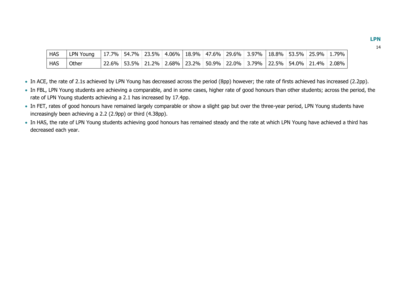| <b>HAS</b> | LPN Young   17.7%   54.7%   23.5%   4.06%   18.9%   47.6%   29.6%   3.97%   18.8%   53.5%   25.9%   1.79% |  |  |  |                                                                                       |  |  |
|------------|-----------------------------------------------------------------------------------------------------------|--|--|--|---------------------------------------------------------------------------------------|--|--|
| <b>HAS</b> | Other                                                                                                     |  |  |  | │22.6% │53.5% │21.2% │2.68% │23.2% │50.9% │22.0% │3.79% │22.5% │54.0% │21.4% │2.08% │ |  |  |

- In ACE, the rate of 2.1s achieved by LPN Young has decreased across the period (8pp) however; the rate of firsts achieved has increased (2.2pp).
- In FBL, LPN Young students are achieving a comparable, and in some cases, higher rate of good honours than other students; across the period, the rate of LPN Young students achieving a 2.1 has increased by 17.4pp.
- In FET, rates of good honours have remained largely comparable or show a slight gap but over the three-year period, LPN Young students have increasingly been achieving a 2.2 (2.9pp) or third (4.38pp).
- In HAS, the rate of LPN Young students achieving good honours has remained steady and the rate at which LPN Young have achieved a third has decreased each year.